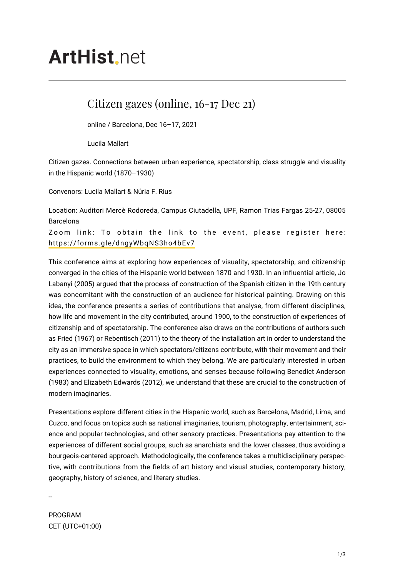## **ArtHist**, net

## Citizen gazes (online, 16-17 Dec 21)

online / Barcelona, Dec 16–17, 2021

Lucila Mallart

Citizen gazes. Connections between urban experience, spectatorship, class struggle and visuality in the Hispanic world (1870–1930)

Convenors: Lucila Mallart & Núria F. Rius

Location: Auditori Mercè Rodoreda, Campus Ciutadella, UPF, Ramon Trias Fargas 25-27, 08005 Barcelona

Zoom link: To obtain the link to the event, please register here: <https://forms.gle/dngyWbqNS3ho4bEv7>

This conference aims at exploring how experiences of visuality, spectatorship, and citizenship converged in the cities of the Hispanic world between 1870 and 1930. In an influential article, Jo Labanyi (2005) argued that the process of construction of the Spanish citizen in the 19th century was concomitant with the construction of an audience for historical painting. Drawing on this idea, the conference presents a series of contributions that analyse, from different disciplines, how life and movement in the city contributed, around 1900, to the construction of experiences of citizenship and of spectatorship. The conference also draws on the contributions of authors such as Fried (1967) or Rebentisch (2011) to the theory of the installation art in order to understand the city as an immersive space in which spectators/citizens contribute, with their movement and their practices, to build the environment to which they belong. We are particularly interested in urban experiences connected to visuality, emotions, and senses because following Benedict Anderson (1983) and Elizabeth Edwards (2012), we understand that these are crucial to the construction of modern imaginaries.

Presentations explore different cities in the Hispanic world, such as Barcelona, Madrid, Lima, and Cuzco, and focus on topics such as national imaginaries, tourism, photography, entertainment, science and popular technologies, and other sensory practices. Presentations pay attention to the experiences of different social groups, such as anarchists and the lower classes, thus avoiding a bourgeois-centered approach. Methodologically, the conference takes a multidisciplinary perspective, with contributions from the fields of art history and visual studies, contemporary history, geography, history of science, and literary studies.

--

PROGRAM CET (UTC+01:00)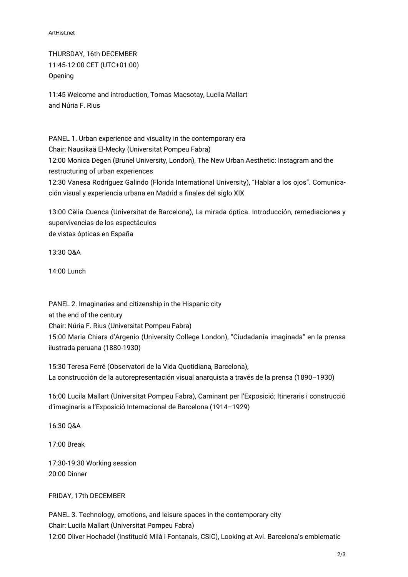ArtHist.net

THURSDAY, 16th DECEMBER 11:45-12:00 CET (UTC+01:00) Opening

11:45 Welcome and introduction, Tomas Macsotay, Lucila Mallart and Núria F. Rius

PANEL 1. Urban experience and visuality in the contemporary era Chair: Nausikaä El-Mecky (Universitat Pompeu Fabra) 12:00 Monica Degen (Brunel University, London), The New Urban Aesthetic: Instagram and the restructuring of urban experiences 12:30 Vanesa Rodríguez Galindo (Florida International University), "Hablar a los ojos". Comunicación visual y experiencia urbana en Madrid a finales del siglo XIX

13:00 Cèlia Cuenca (Universitat de Barcelona), La mirada óptica. Introducción, remediaciones y supervivencias de los espectáculos de vistas ópticas en España

13:30 Q&A

14:00 Lunch

PANEL 2. Imaginaries and citizenship in the Hispanic city at the end of the century Chair: Núria F. Rius (Universitat Pompeu Fabra) 15:00 Maria Chiara d'Argenio (University College London), "Ciudadanía imaginada" en la prensa ilustrada peruana (1880-1930)

15:30 Teresa Ferré (Observatori de la Vida Quotidiana, Barcelona), La construcción de la autorepresentación visual anarquista a través de la prensa (1890–1930)

16:00 Lucila Mallart (Universitat Pompeu Fabra), Caminant per l'Exposició: Itineraris i construcció d'imaginaris a l'Exposició Internacional de Barcelona (1914–1929)

16:30 Q&A

17:00 Break

17:30-19:30 Working session 20:00 Dinner

FRIDAY, 17th DECEMBER

PANEL 3. Technology, emotions, and leisure spaces in the contemporary city Chair: Lucila Mallart (Universitat Pompeu Fabra) 12:00 Oliver Hochadel (Institució Milà i Fontanals, CSIC), Looking at Avi. Barcelona's emblematic